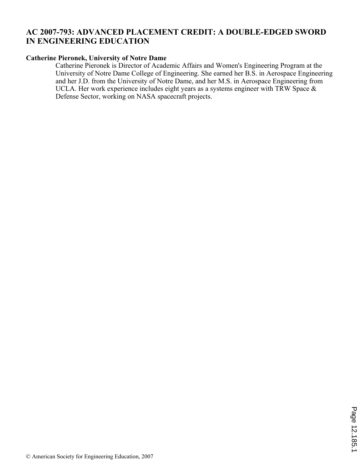# **AC 2007-793: ADVANCED PLACEMENT CREDIT: A DOUBLE-EDGED SWORD IN ENGINEERING EDUCATION**

### **Catherine Pieronek, University of Notre Dame**

Catherine Pieronek is Director of Academic Affairs and Women's Engineering Program at the University of Notre Dame College of Engineering. She earned her B.S. in Aerospace Engineering and her J.D. from the University of Notre Dame, and her M.S. in Aerospace Engineering from UCLA. Her work experience includes eight years as a systems engineer with TRW Space & Defense Sector, working on NASA spacecraft projects.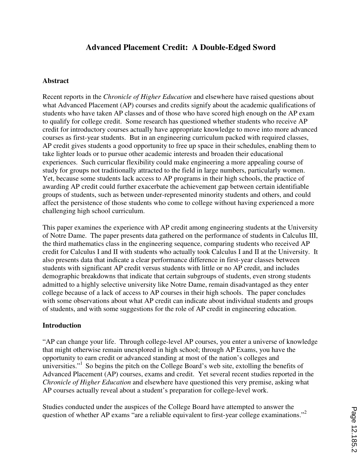# **Advanced Placement Credit: A Double-Edged Sword**

#### **Abstract**

Recent reports in the *Chronicle of Higher Education* and elsewhere have raised questions about what Advanced Placement (AP) courses and credits signify about the academic qualifications of students who have taken AP classes and of those who have scored high enough on the AP exam to qualify for college credit. Some research has questioned whether students who receive AP credit for introductory courses actually have appropriate knowledge to move into more advanced courses as first-year students. But in an engineering curriculum packed with required classes, AP credit gives students a good opportunity to free up space in their schedules, enabling them to take lighter loads or to pursue other academic interests and broaden their educational experiences. Such curricular flexibility could make engineering a more appealing course of study for groups not traditionally attracted to the field in large numbers, particularly women. Yet, because some students lack access to AP programs in their high schools, the practice of awarding AP credit could further exacerbate the achievement gap between certain identifiable groups of students, such as between under-represented minority students and others, and could affect the persistence of those students who come to college without having experienced a more challenging high school curriculum.

This paper examines the experience with AP credit among engineering students at the University of Notre Dame. The paper presents data gathered on the performance of students in Calculus III, the third mathematics class in the engineering sequence, comparing students who received AP credit for Calculus I and II with students who actually took Calculus I and II at the University. It also presents data that indicate a clear performance difference in first-year classes between students with significant AP credit versus students with little or no AP credit, and includes demographic breakdowns that indicate that certain subgroups of students, even strong students admitted to a highly selective university like Notre Dame, remain disadvantaged as they enter college because of a lack of access to AP courses in their high schools. The paper concludes with some observations about what AP credit can indicate about individual students and groups of students, and with some suggestions for the role of AP credit in engineering education.

#### **Introduction**

"AP can change your life. Through college-level AP courses, you enter a universe of knowledge that might otherwise remain unexplored in high school; through AP Exams, you have the opportunity to earn credit or advanced standing at most of the nation's colleges and universities."<sup>1</sup> So begins the pitch on the College Board's web site, extolling the benefits of Advanced Placement (AP) courses, exams and credit. Yet several recent studies reported in the *Chronicle of Higher Education* and elsewhere have questioned this very premise, asking what AP courses actually reveal about a student's preparation for college-level work.

Studies conducted under the auspices of the College Board have attempted to answer the question of whether AP exams "are a reliable equivalent to first-year college examinations."<sup>2</sup>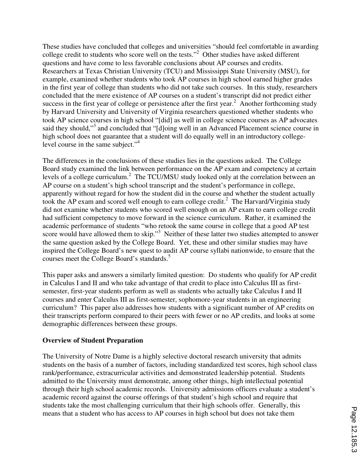These studies have concluded that colleges and universities "should feel comfortable in awarding college credit to students who score well on the tests."<sup>2</sup> Other studies have asked different questions and have come to less favorable conclusions about AP courses and credits. Researchers at Texas Christian University (TCU) and Mississippi State University (MSU), for example, examined whether students who took AP courses in high school earned higher grades in the first year of college than students who did not take such courses. In this study, researchers concluded that the mere existence of AP courses on a student's transcript did not predict either success in the first year of college or persistence after the first year. $2$  Another forthcoming study by Harvard University and University of Virginia researchers questioned whether students who took AP science courses in high school "[did] as well in college science courses as AP advocates said they should,"<sup>3</sup> and concluded that "[d]oing well in an Advanced Placement science course in high school does not guarantee that a student will do equally well in an introductory collegelevel course in the same subject."<sup>4</sup>

The differences in the conclusions of these studies lies in the questions asked. The College Board study examined the link between performance on the AP exam and competency at certain levels of a college curriculum.<sup>2</sup> The TCU/MSU study looked only at the correlation between an AP course on a student's high school transcript and the student's performance in college, apparently without regard for how the student did in the course and whether the student actually took the AP exam and scored well enough to earn college credit.<sup>2</sup> The Harvard/Virginia study did not examine whether students who scored well enough on an AP exam to earn college credit had sufficient competency to move forward in the science curriculum. Rather, it examined the academic performance of students "who retook the same course in college that a good AP test score would have allowed them to skip."<sup>3</sup> Neither of these latter two studies attempted to answer the same question asked by the College Board. Yet, these and other similar studies may have inspired the College Board's new quest to audit AP course syllabi nationwide, to ensure that the courses meet the College Board's standards.<sup>5</sup>

This paper asks and answers a similarly limited question: Do students who qualify for AP credit in Calculus I and II and who take advantage of that credit to place into Calculus III as firstsemester, first-year students perform as well as students who actually take Calculus I and II courses and enter Calculus III as first-semester, sophomore-year students in an engineering curriculum? This paper also addresses how students with a significant number of AP credits on their transcripts perform compared to their peers with fewer or no AP credits, and looks at some demographic differences between these groups.

#### **Overview of Student Preparation**

The University of Notre Dame is a highly selective doctoral research university that admits students on the basis of a number of factors, including standardized test scores, high school class rank/performance, extracurricular activities and demonstrated leadership potential. Students admitted to the University must demonstrate, among other things, high intellectual potential through their high school academic records. University admissions officers evaluate a student's academic record against the course offerings of that student's high school and require that students take the most challenging curriculum that their high schools offer. Generally, this means that a student who has access to AP courses in high school but does not take them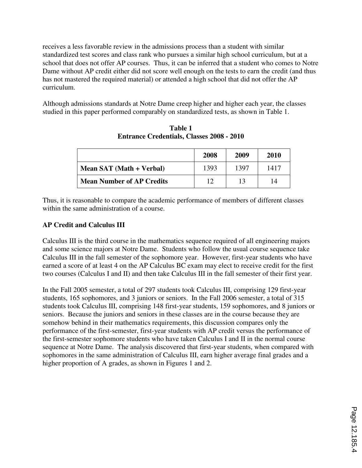receives a less favorable review in the admissions process than a student with similar standardized test scores and class rank who pursues a similar high school curriculum, but at a school that does not offer AP courses. Thus, it can be inferred that a student who comes to Notre Dame without AP credit either did not score well enough on the tests to earn the credit (and thus has not mastered the required material) or attended a high school that did not offer the AP curriculum.

Although admissions standards at Notre Dame creep higher and higher each year, the classes studied in this paper performed comparably on standardized tests, as shown in Table 1.

|                                  | 2008 | 2009 | 2010 |
|----------------------------------|------|------|------|
| Mean SAT (Math + Verbal)         | 1393 | 1397 | 1417 |
| <b>Mean Number of AP Credits</b> | 12   | 13   | 14   |

**Table 1 Entrance Credentials, Classes 2008 - 2010** 

Thus, it is reasonable to compare the academic performance of members of different classes within the same administration of a course.

## **AP Credit and Calculus III**

Calculus III is the third course in the mathematics sequence required of all engineering majors and some science majors at Notre Dame. Students who follow the usual course sequence take Calculus III in the fall semester of the sophomore year. However, first-year students who have earned a score of at least 4 on the AP Calculus BC exam may elect to receive credit for the first two courses (Calculus I and II) and then take Calculus III in the fall semester of their first year.

In the Fall 2005 semester, a total of 297 students took Calculus III, comprising 129 first-year students, 165 sophomores, and 3 juniors or seniors. In the Fall 2006 semester, a total of 315 students took Calculus III, comprising 148 first-year students, 159 sophomores, and 8 juniors or seniors. Because the juniors and seniors in these classes are in the course because they are somehow behind in their mathematics requirements, this discussion compares only the performance of the first-semester, first-year students with AP credit versus the performance of the first-semester sophomore students who have taken Calculus I and II in the normal course sequence at Notre Dame. The analysis discovered that first-year students, when compared with sophomores in the same administration of Calculus III, earn higher average final grades and a higher proportion of A grades, as shown in Figures 1 and 2.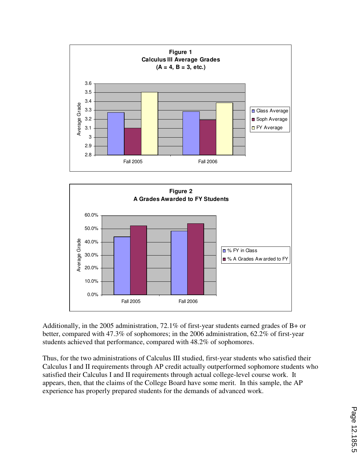



Additionally, in the 2005 administration, 72.1% of first-year students earned grades of B+ or better, compared with 47.3% of sophomores; in the 2006 administration, 62.2% of first-year students achieved that performance, compared with 48.2% of sophomores.

Thus, for the two administrations of Calculus III studied, first-year students who satisfied their Calculus I and II requirements through AP credit actually outperformed sophomore students who satisfied their Calculus I and II requirements through actual college-level course work. It appears, then, that the claims of the College Board have some merit. In this sample, the AP experience has properly prepared students for the demands of advanced work.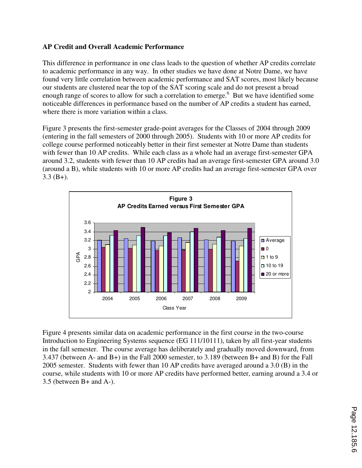### **AP Credit and Overall Academic Performance**

This difference in performance in one class leads to the question of whether AP credits correlate to academic performance in any way. In other studies we have done at Notre Dame, we have found very little correlation between academic performance and SAT scores, most likely because our students are clustered near the top of the SAT scoring scale and do not present a broad enough range of scores to allow for such a correlation to emerge.<sup>6</sup> But we have identified some noticeable differences in performance based on the number of AP credits a student has earned, where there is more variation within a class.

Figure 3 presents the first-semester grade-point averages for the Classes of 2004 through 2009 (entering in the fall semesters of 2000 through 2005). Students with 10 or more AP credits for college course performed noticeably better in their first semester at Notre Dame than students with fewer than 10 AP credits. While each class as a whole had an average first-semester GPA around 3.2, students with fewer than 10 AP credits had an average first-semester GPA around 3.0 (around a B), while students with 10 or more AP credits had an average first-semester GPA over 3.3 (B+).



Figure 4 presents similar data on academic performance in the first course in the two-course Introduction to Engineering Systems sequence (EG 111/10111), taken by all first-year students in the fall semester. The course average has deliberately and gradually moved downward, from 3.437 (between A- and B+) in the Fall 2000 semester, to 3.189 (between B+ and B) for the Fall 2005 semester. Students with fewer than 10 AP credits have averaged around a 3.0 (B) in the course, while students with 10 or more AP credits have performed better, earning around a 3.4 or 3.5 (between B+ and A-).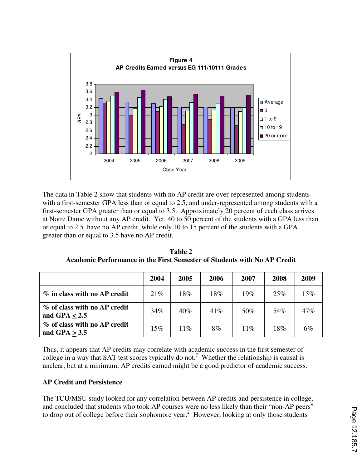

The data in Table 2 show that students with no AP credit are over-represented among students with a first-semester GPA less than or equal to 2.5, and under-represented among students with a first-semester GPA greater than or equal to 3.5. Approximately 20 percent of each class arrives at Notre Dame without any AP credit. Yet, 40 to 50 percent of the students with a GPA less than or equal to 2.5 have no AP credit, while only 10 to 15 percent of the students with a GPA greater than or equal to 3.5 have no AP credit.

**Table 2 Academic Performance in the First Semester of Students with No AP Credit** 

|                                                 | 2004   | 2005   | 2006 | 2007   | 2008 | 2009   |
|-------------------------------------------------|--------|--------|------|--------|------|--------|
| % in class with no AP credit                    | 21%    | $18\%$ | 18%  | 19%    | 25%  | $15\%$ |
| % of class with no AP credit<br>and GPA $< 2.5$ | 34%    | $40\%$ | 41%  | 50%    | 54%  | $47\%$ |
| % of class with no AP credit<br>and GPA $> 3.5$ | $15\%$ | $11\%$ | 8%   | $11\%$ | 18%  | $6\%$  |

Thus, it appears that AP credits may correlate with academic success in the first semester of college in a way that SAT test scores typically do not.<sup>7</sup> Whether the relationship is causal is unclear, but at a minimum, AP credits earned might be a good predictor of academic success.

### **AP Credit and Persistence**

The TCU/MSU study looked for any correlation between AP credits and persistence in college, and concluded that students who took AP courses were no less likely than their "non-AP peers" to drop out of college before their sophomore year.<sup>2</sup> However, looking at only those students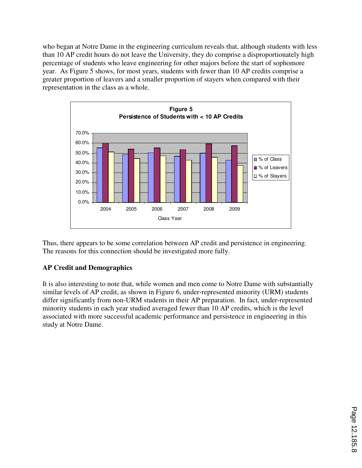who began at Notre Dame in the engineering curriculum reveals that, although students with less than 10 AP credit hours do not leave the University, they do comprise a disproportionately high percentage of students who leave engineering for other majors before the start of sophomore year. As Figure 5 shows, for most years, students with fewer than 10 AP credits comprise a greater proportion of leavers and a smaller proportion of stayers when compared with their representation in the class as a whole.



Thus, there appears to be some correlation between AP credit and persistence in engineering. The reasons for this connection should be investigated more fully.

## **AP Credit and Demographics**

It is also interesting to note that, while women and men come to Notre Dame with substantially similar levels of AP credit, as shown in Figure 6, under-represented minority (URM) students differ significantly from non-URM students in their AP preparation. In fact, under-represented minority students in each year studied averaged fewer than 10 AP credits, which is the level associated with more successful academic performance and persistence in engineering in this study at Notre Dame.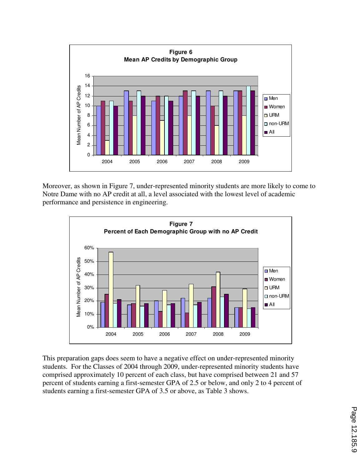

Moreover, as shown in Figure 7, under-represented minority students are more likely to come to Notre Dame with no AP credit at all, a level associated with the lowest level of academic performance and persistence in engineering.



This preparation gaps does seem to have a negative effect on under-represented minority students. For the Classes of 2004 through 2009, under-represented minority students have comprised approximately 10 percent of each class, but have comprised between 21 and 57 percent of students earning a first-semester GPA of 2.5 or below, and only 2 to 4 percent of students earning a first-semester GPA of 3.5 or above, as Table 3 shows.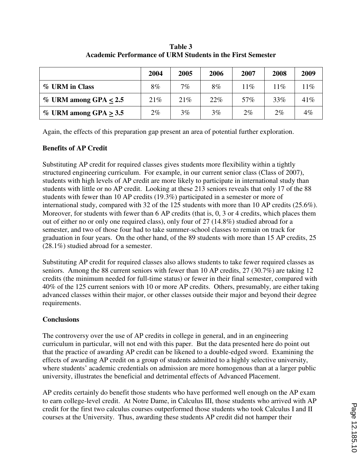|                            | 2004  | 2005  | 2006  | 2007   | 2008  | 2009  |
|----------------------------|-------|-------|-------|--------|-------|-------|
| % URM in Class             | 8%    | $7\%$ | 8%    | $11\%$ | 11%   | $1\%$ |
| $\%$ URM among GPA $< 2.5$ | 21%   | 21%   | 22%   | 57%    | 33%   | 41%   |
| $\%$ URM among GPA $>$ 3.5 | $2\%$ | 3%    | $3\%$ | $2\%$  | $2\%$ | $4\%$ |

**Table 3 Academic Performance of URM Students in the First Semester** 

Again, the effects of this preparation gap present an area of potential further exploration.

### **Benefits of AP Credit**

Substituting AP credit for required classes gives students more flexibility within a tightly structured engineering curriculum. For example, in our current senior class (Class of 2007), students with high levels of AP credit are more likely to participate in international study than students with little or no AP credit. Looking at these 213 seniors reveals that only 17 of the 88 students with fewer than 10 AP credits (19.3%) participated in a semester or more of international study, compared with 32 of the 125 students with more than 10 AP credits (25.6%). Moreover, for students with fewer than 6 AP credits (that is, 0, 3 or 4 credits, which places them out of either no or only one required class), only four of 27 (14.8%) studied abroad for a semester, and two of those four had to take summer-school classes to remain on track for graduation in four years. On the other hand, of the 89 students with more than 15 AP credits, 25 (28.1%) studied abroad for a semester.

Substituting AP credit for required classes also allows students to take fewer required classes as seniors. Among the 88 current seniors with fewer than 10 AP credits, 27 (30.7%) are taking 12 credits (the minimum needed for full-time status) or fewer in their final semester, compared with 40% of the 125 current seniors with 10 or more AP credits. Others, presumably, are either taking advanced classes within their major, or other classes outside their major and beyond their degree requirements.

### **Conclusions**

The controversy over the use of AP credits in college in general, and in an engineering curriculum in particular, will not end with this paper. But the data presented here do point out that the practice of awarding AP credit can be likened to a double-edged sword. Examining the effects of awarding AP credit on a group of students admitted to a highly selective university, where students' academic credentials on admission are more homogenous than at a larger public university, illustrates the beneficial and detrimental effects of Advanced Placement.

AP credits certainly do benefit those students who have performed well enough on the AP exam to earn college-level credit. At Notre Dame, in Calculus III, those students who arrived with AP credit for the first two calculus courses outperformed those students who took Calculus I and II courses at the University. Thus, awarding these students AP credit did not hamper their